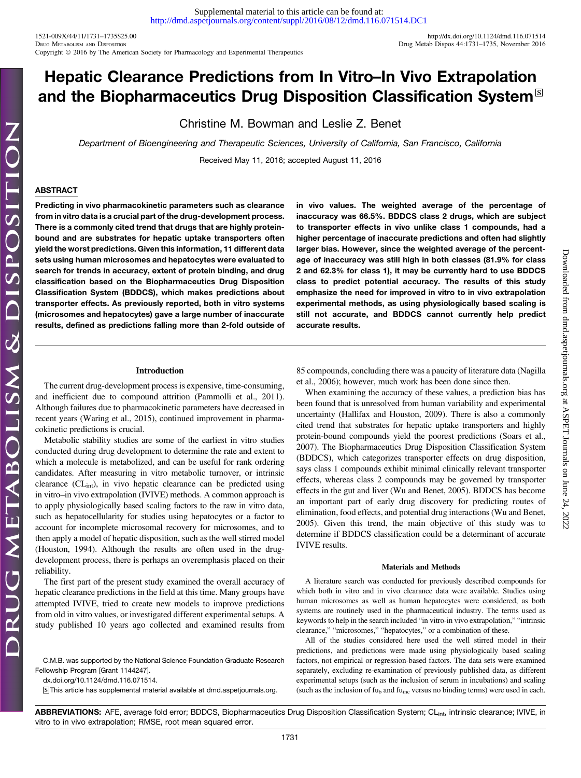1521-009X/44/11/1731-1735\$25.00 <http://dx.doi.org/10.1124/dmd.116.071514><br>Drug Metab Dispos 44:1731-1735, November 2016 Copyright © 2016 by The American Society for Pharmacology and Experimental Therapeutics

# Hepatic Clearance Predictions from In Vitro–In Vivo Extrapolation and the Biopharmaceutics Drug Disposition Classification System  $\mathbb{S}$

Christine M. Bowman and Leslie Z. Benet

Department of Bioengineering and Therapeutic Sciences, University of California, San Francisco, California Received May 11, 2016; accepted August 11, 2016

## ABSTRACT

Predicting in vivo pharmacokinetic parameters such as clearance from in vitro data is a crucial part of the drug-development process. There is a commonly cited trend that drugs that are highly proteinbound and are substrates for hepatic uptake transporters often yield the worst predictions. Given this information, 11 different data sets using human microsomes and hepatocytes were evaluated to search for trends in accuracy, extent of protein binding, and drug classification based on the Biopharmaceutics Drug Disposition Classification System (BDDCS), which makes predictions about transporter effects. As previously reported, both in vitro systems (microsomes and hepatocytes) gave a large number of inaccurate results, defined as predictions falling more than 2-fold outside of in vivo values. The weighted average of the percentage of inaccuracy was 66.5%. BDDCS class 2 drugs, which are subject to transporter effects in vivo unlike class 1 compounds, had a higher percentage of inaccurate predictions and often had slightly larger bias. However, since the weighted average of the percentage of inaccuracy was still high in both classes (81.9% for class 2 and 62.3% for class 1), it may be currently hard to use BDDCS class to predict potential accuracy. The results of this study emphasize the need for improved in vitro to in vivo extrapolation experimental methods, as using physiologically based scaling is still not accurate, and BDDCS cannot currently help predict accurate results.

## Introduction

The current drug-development process is expensive, time-consuming, and inefficient due to compound attrition (Pammolli et al., 2011). Although failures due to pharmacokinetic parameters have decreased in recent years (Waring et al., 2015), continued improvement in pharmacokinetic predictions is crucial.

Metabolic stability studies are some of the earliest in vitro studies conducted during drug development to determine the rate and extent to which a molecule is metabolized, and can be useful for rank ordering candidates. After measuring in vitro metabolic turnover, or intrinsic clearance  $(CL<sub>int</sub>)$ , in vivo hepatic clearance can be predicted using in vitro–in vivo extrapolation (IVIVE) methods. A common approach is to apply physiologically based scaling factors to the raw in vitro data, such as hepatocellularity for studies using hepatocytes or a factor to account for incomplete microsomal recovery for microsomes, and to then apply a model of hepatic disposition, such as the well stirred model (Houston, 1994). Although the results are often used in the drugdevelopment process, there is perhaps an overemphasis placed on their reliability.

The first part of the present study examined the overall accuracy of hepatic clearance predictions in the field at this time. Many groups have attempted IVIVE, tried to create new models to improve predictions from old in vitro values, or investigated different experimental setups. A study published 10 years ago collected and examined results from

C.M.B. was supported by the National Science Foundation Graduate Research Fellowship Program [Grant 1144247].

[dx.doi.org/10.1124/dmd.116.071514.](http://dx.doi.org/10.1124/dmd.116.071514)

S This article has supplemental material available at [dmd.aspetjournals.org.](http://dmd.aspetjournals.org)

85 compounds, concluding there was a paucity of literature data (Nagilla et al., 2006); however, much work has been done since then.

When examining the accuracy of these values, a prediction bias has been found that is unresolved from human variability and experimental uncertainty (Hallifax and Houston, 2009). There is also a commonly cited trend that substrates for hepatic uptake transporters and highly protein-bound compounds yield the poorest predictions (Soars et al., 2007). The Biopharmaceutics Drug Disposition Classification System (BDDCS), which categorizes transporter effects on drug disposition, says class 1 compounds exhibit minimal clinically relevant transporter effects, whereas class 2 compounds may be governed by transporter effects in the gut and liver (Wu and Benet, 2005). BDDCS has become an important part of early drug discovery for predicting routes of elimination, food effects, and potential drug interactions (Wu and Benet, 2005). Given this trend, the main objective of this study was to determine if BDDCS classification could be a determinant of accurate IVIVE results.

## Materials and Methods

A literature search was conducted for previously described compounds for which both in vitro and in vivo clearance data were available. Studies using human microsomes as well as human hepatocytes were considered, as both systems are routinely used in the pharmaceutical industry. The terms used as keywords to help in the search included "in vitro-in vivo extrapolation," "intrinsic clearance," "microsomes," "hepatocytes," or a combination of these.

All of the studies considered here used the well stirred model in their predictions, and predictions were made using physiologically based scaling factors, not empirical or regression-based factors. The data sets were examined separately, excluding re-examination of previously published data, as different experimental setups (such as the inclusion of serum in incubations) and scaling (such as the inclusion of  $f_{u_h}$  and  $f_{u_{inc}}$  versus no binding terms) were used in each.

ABBREVIATIONS: AFE, average fold error; BDDCS, Biopharmaceutics Drug Disposition Classification System; CL<sub>int</sub>, intrinsic clearance; IVIVE, in vitro to in vivo extrapolation; RMSE, root mean squared error.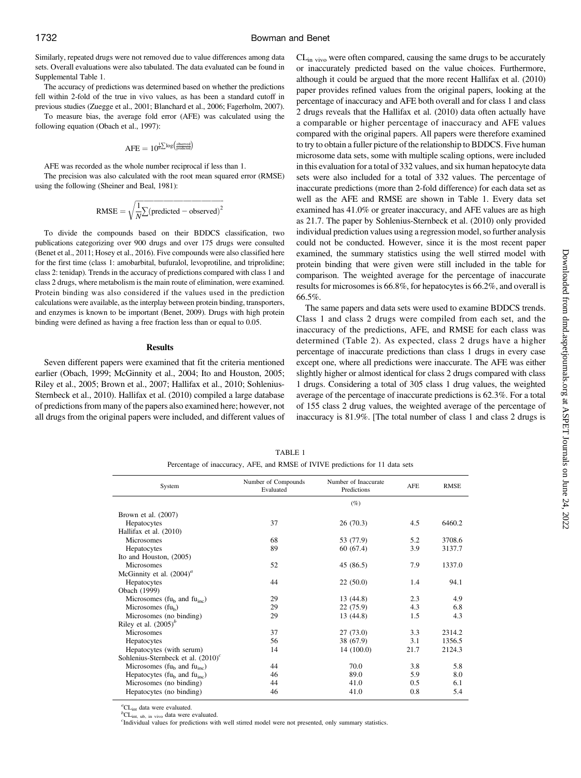Similarly, repeated drugs were not removed due to value differences among data sets. Overall evaluations were also tabulated. The data evaluated can be found in [Supplemental Table 1](http://dmd.aspetjournals.org/lookup/suppl/doi:10.1124/dmd.116.071514/-/DC1).

The accuracy of predictions was determined based on whether the predictions fell within 2-fold of the true in vivo values, as has been a standard cutoff in previous studies (Zuegge et al., 2001; Blanchard et al., 2006; Fagerholm, 2007).

To measure bias, the average fold error (AFE) was calculated using the following equation (Obach et al., 1997):

$$
\text{AFE} = 10^{\frac{1}{N} \sum \log \left( \frac{\text{observed}}{\text{predicted}} \right)}
$$

AFE was recorded as the whole number reciprocal if less than 1.

The precision was also calculated with the root mean squared error (RMSE) using the following (Sheiner and Beal, 1981):

RMSE = 
$$
\sqrt{\frac{1}{N} \sum (\text{predicted} - \text{observed})^2}
$$

To divide the compounds based on their BDDCS classification, two publications categorizing over 900 drugs and over 175 drugs were consulted (Benet et al., 2011; Hosey et al., 2016). Five compounds were also classified here for the first time (class 1: amobarbital, bufuralol, levoprotiline, and triprolidine; class 2: tenidap). Trends in the accuracy of predictions compared with class 1 and class 2 drugs, where metabolism is the main route of elimination, were examined. Protein binding was also considered if the values used in the prediction calculations were available, as the interplay between protein binding, transporters, and enzymes is known to be important (Benet, 2009). Drugs with high protein binding were defined as having a free fraction less than or equal to 0.05.

### Results

Seven different papers were examined that fit the criteria mentioned earlier (Obach, 1999; McGinnity et al., 2004; Ito and Houston, 2005; Riley et al., 2005; Brown et al., 2007; Hallifax et al., 2010; Sohlenius-Sternbeck et al., 2010). Hallifax et al. (2010) compiled a large database of predictions from many of the papers also examined here; however, not all drugs from the original papers were included, and different values of CL<sub>in vivo</sub> were often compared, causing the same drugs to be accurately or inaccurately predicted based on the value choices. Furthermore, although it could be argued that the more recent Hallifax et al. (2010) paper provides refined values from the original papers, looking at the percentage of inaccuracy and AFE both overall and for class 1 and class 2 drugs reveals that the Hallifax et al. (2010) data often actually have a comparable or higher percentage of inaccuracy and AFE values compared with the original papers. All papers were therefore examined to try to obtain a fuller picture of the relationship to BDDCS. Five human microsome data sets, some with multiple scaling options, were included in this evaluation for a total of 332 values, and six human hepatocyte data sets were also included for a total of 332 values. The percentage of inaccurate predictions (more than 2-fold difference) for each data set as well as the AFE and RMSE are shown in Table 1. Every data set examined has 41.0% or greater inaccuracy, and AFE values are as high as 21.7. The paper by Sohlenius-Sternbeck et al. (2010) only provided individual prediction values using a regression model, so further analysis could not be conducted. However, since it is the most recent paper examined, the summary statistics using the well stirred model with protein binding that were given were still included in the table for comparison. The weighted average for the percentage of inaccurate results for microsomes is 66.8%, for hepatocytes is 66.2%, and overall is 66.5%.

The same papers and data sets were used to examine BDDCS trends. Class 1 and class 2 drugs were compiled from each set, and the inaccuracy of the predictions, AFE, and RMSE for each class was determined (Table 2). As expected, class 2 drugs have a higher percentage of inaccurate predictions than class 1 drugs in every case except one, where all predictions were inaccurate. The AFE was either slightly higher or almost identical for class 2 drugs compared with class 1 drugs. Considering a total of 305 class 1 drug values, the weighted average of the percentage of inaccurate predictions is 62.3%. For a total of 155 class 2 drug values, the weighted average of the percentage of inaccuracy is 81.9%. [The total number of class 1 and class 2 drugs is

| TABLE 1                                                                       |  |
|-------------------------------------------------------------------------------|--|
| Percentage of inaccuracy, AFE, and RMSE of IVIVE predictions for 11 data sets |  |

| System                                                  | Number of Compounds<br>Evaluated | Number of Inaccurate<br>Predictions | <b>AFE</b> | <b>RMSE</b> |
|---------------------------------------------------------|----------------------------------|-------------------------------------|------------|-------------|
|                                                         |                                  | $(\%)$                              |            |             |
| Brown et al. (2007)                                     |                                  |                                     |            |             |
| Hepatocytes                                             | 37                               | 26(70.3)                            | 4.5        | 6460.2      |
| Hallifax et al. (2010)                                  |                                  |                                     |            |             |
| Microsomes                                              | 68                               | 53 (77.9)                           | 5.2        | 3708.6      |
| Hepatocytes                                             | 89                               | 60 (67.4)                           | 3.9        | 3137.7      |
| Ito and Houston, (2005)                                 |                                  |                                     |            |             |
| <b>Microsomes</b>                                       | 52                               | 45 (86.5)                           | 7.9        | 1337.0      |
| McGinnity et al. $(2004)^a$                             |                                  |                                     |            |             |
| Hepatocytes                                             | 44                               | 22(50.0)                            | 1.4        | 94.1        |
| Obach (1999)                                            |                                  |                                     |            |             |
| Microsomes ( $fub$ and $fuinc$ )                        | 29                               | 13 (44.8)                           | 2.3        | 4.9         |
| Microsomes $(fu_h)$                                     | 29                               | 22(75.9)                            | 4.3        | 6.8         |
| Microsomes (no binding)                                 | 29                               | 13 (44.8)                           | 1.5        | 4.3         |
| Riley et al. $(2005)^b$                                 |                                  |                                     |            |             |
| <b>Microsomes</b>                                       | 37                               | 27(73.0)                            | 3.3        | 2314.2      |
| Hepatocytes                                             | 56                               | 38 (67.9)                           | 3.1        | 1356.5      |
| Hepatocytes (with serum)                                | 14                               | 14(100.0)                           | 21.7       | 2124.3      |
| Sohlenius-Sternbeck et al. $(2010)^c$                   |                                  |                                     |            |             |
| Microsomes ( $f_{\rm u_b}$ and $f_{\rm u_{\rm inc}}$ )  | 44                               | 70.0                                | 3.8        | 5.8         |
| Hepatocytes ( $f_{\rm u_b}$ and $f_{\rm u_{\rm inc}}$ ) | 46                               | 89.0                                | 5.9        | 8.0         |
| Microsomes (no binding)                                 | 44                               | 41.0                                | 0.5        | 6.1         |
| Hepatocytes (no binding)                                | 46                               | 41.0                                | 0.8        | 5.4         |

 ${}^a_{\text{CL}_{int}}$  data were evaluated.

 ${}^bCL_{int, ub-in, vivo}$  data were evaluated.

Individual values for predictions with well stirred model were not presented, only summary statistics.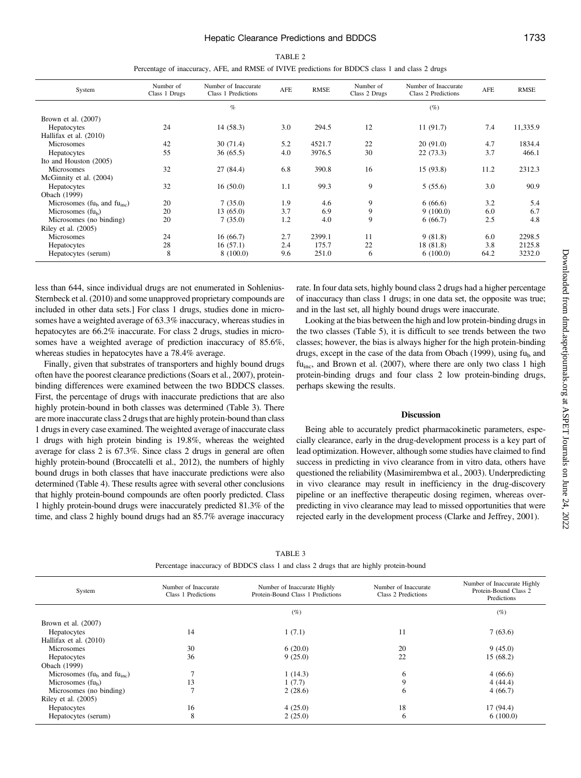| System                                                 | Number of<br>Class 1 Drugs | Number of Inaccurate<br>Class 1 Predictions | AFE | <b>RMSE</b> | Number of<br>Class 2 Drugs | Number of Inaccurate<br>Class 2 Predictions | AFE  | <b>RMSE</b> |
|--------------------------------------------------------|----------------------------|---------------------------------------------|-----|-------------|----------------------------|---------------------------------------------|------|-------------|
|                                                        |                            | $\%$                                        |     |             |                            | $(\%)$                                      |      |             |
| Brown et al. (2007)                                    |                            |                                             |     |             |                            |                                             |      |             |
| Hepatocytes                                            | 24                         | 14(58.3)                                    | 3.0 | 294.5       | 12                         | 11(91.7)                                    | 7.4  | 11,335.9    |
| Hallifax et al. (2010)                                 |                            |                                             |     |             |                            |                                             |      |             |
| <b>Microsomes</b>                                      | 42                         | 30(71.4)                                    | 5.2 | 4521.7      | 22                         | 20(91.0)                                    | 4.7  | 1834.4      |
| Hepatocytes                                            | 55                         | 36(65.5)                                    | 4.0 | 3976.5      | 30                         | 22(73.3)                                    | 3.7  | 466.1       |
| Ito and Houston (2005)                                 |                            |                                             |     |             |                            |                                             |      |             |
| <b>Microsomes</b>                                      | 32                         | 27 (84.4)                                   | 6.8 | 390.8       | 16                         | 15(93.8)                                    | 11.2 | 2312.3      |
| McGinnity et al. (2004)                                |                            |                                             |     |             |                            |                                             |      |             |
| Hepatocytes                                            | 32                         | 16(50.0)                                    | 1.1 | 99.3        | 9                          | 5(55.6)                                     | 3.0  | 90.9        |
| Obach (1999)                                           |                            |                                             |     |             |                            |                                             |      |             |
| Microsomes ( $f_{\rm u_h}$ and $f_{\rm u_{\rm inc}}$ ) | 20                         | 7(35.0)                                     | 1.9 | 4.6         | 9                          | 6(66.6)                                     | 3.2  | 5.4         |
| Microsomes $(fu_h)$                                    | 20                         | 13(65.0)                                    | 3.7 | 6.9         | 9                          | 9(100.0)                                    | 6.0  | 6.7         |
| Microsomes (no binding)                                | 20                         | 7(35.0)                                     | 1.2 | 4.0         | 9                          | 6(66.7)                                     | 2.5  | 4.8         |
| Riley et al. $(2005)$                                  |                            |                                             |     |             |                            |                                             |      |             |
| <b>Microsomes</b>                                      | 24                         | 16(66.7)                                    | 2.7 | 2399.1      | 11                         | 9(81.8)                                     | 6.0  | 2298.5      |
| Hepatocytes                                            | 28                         | 16(57.1)                                    | 2.4 | 175.7       | 22                         | 18 (81.8)                                   | 3.8  | 2125.8      |
| Hepatocytes (serum)                                    | 8                          | 8(100.0)                                    | 9.6 | 251.0       | 6                          | 6(100.0)                                    | 64.2 | 3232.0      |
|                                                        |                            |                                             |     |             |                            |                                             |      |             |

TABLE 2 Percentage of inaccuracy, AFE, and RMSE of IVIVE predictions for BDDCS class 1 and class 2 drugs

less than 644, since individual drugs are not enumerated in Sohlenius-Sternbeck et al. (2010) and some unapproved proprietary compounds are included in other data sets.] For class 1 drugs, studies done in microsomes have a weighted average of 63.3% inaccuracy, whereas studies in hepatocytes are 66.2% inaccurate. For class 2 drugs, studies in microsomes have a weighted average of prediction inaccuracy of 85.6%, whereas studies in hepatocytes have a 78.4% average.

Finally, given that substrates of transporters and highly bound drugs often have the poorest clearance predictions (Soars et al., 2007), proteinbinding differences were examined between the two BDDCS classes. First, the percentage of drugs with inaccurate predictions that are also highly protein-bound in both classes was determined (Table 3). There are more inaccurate class 2 drugs that are highly protein-bound than class 1 drugs in every case examined. The weighted average of inaccurate class 1 drugs with high protein binding is 19.8%, whereas the weighted average for class 2 is 67.3%. Since class 2 drugs in general are often highly protein-bound (Broccatelli et al., 2012), the numbers of highly bound drugs in both classes that have inaccurate predictions were also determined (Table 4). These results agree with several other conclusions that highly protein-bound compounds are often poorly predicted. Class 1 highly protein-bound drugs were inaccurately predicted 81.3% of the time, and class 2 highly bound drugs had an 85.7% average inaccuracy rate. In four data sets, highly bound class 2 drugs had a higher percentage of inaccuracy than class 1 drugs; in one data set, the opposite was true; and in the last set, all highly bound drugs were inaccurate.

Looking at the bias between the high and low protein-binding drugs in the two classes (Table 5), it is difficult to see trends between the two classes; however, the bias is always higher for the high protein-binding drugs, except in the case of the data from Obach (1999), using  $f_{\text{u}_b}$  and fu<sub>inc</sub>, and Brown et al. (2007), where there are only two class 1 high protein-binding drugs and four class 2 low protein-binding drugs, perhaps skewing the results.

#### Discussion

Being able to accurately predict pharmacokinetic parameters, especially clearance, early in the drug-development process is a key part of lead optimization. However, although some studies have claimed to find success in predicting in vivo clearance from in vitro data, others have questioned the reliability (Masimirembwa et al., 2003). Underpredicting in vivo clearance may result in inefficiency in the drug-discovery pipeline or an ineffective therapeutic dosing regimen, whereas overpredicting in vivo clearance may lead to missed opportunities that were rejected early in the development process (Clarke and Jeffrey, 2001).

| System                                                 | Number of Inaccurate<br>Number of Inaccurate Highly<br>Protein-Bound Class 1 Predictions<br>Class 1 Predictions |         | Number of Inaccurate<br>Class 2 Predictions | Number of Inaccurate Highly<br>Protein-Bound Class 2<br>Predictions |
|--------------------------------------------------------|-----------------------------------------------------------------------------------------------------------------|---------|---------------------------------------------|---------------------------------------------------------------------|
|                                                        |                                                                                                                 | $(\%)$  |                                             | (%)                                                                 |
| Brown et al. $(2007)$                                  |                                                                                                                 |         |                                             |                                                                     |
| Hepatocytes                                            | 14                                                                                                              | 1(7.1)  | 11                                          | 7(63.6)                                                             |
| Hallifax et al. (2010)                                 |                                                                                                                 |         |                                             |                                                                     |
| <b>Microsomes</b>                                      | 30                                                                                                              | 6(20.0) | 20                                          | 9(45.0)                                                             |
| Hepatocytes                                            | 36                                                                                                              | 9(25.0) | 22                                          | 15 (68.2)                                                           |
| Obach (1999)                                           |                                                                                                                 |         |                                             |                                                                     |
| Microsomes ( $f_{\rm u_b}$ and $f_{\rm u_{\rm inc}}$ ) |                                                                                                                 | 1(14.3) | 6                                           | 4(66.6)                                                             |
| Microsomes $(fu_h)$                                    | 13                                                                                                              | 1(7.7)  | 9                                           | 4(44.4)                                                             |
| Microsomes (no binding)                                |                                                                                                                 | 2(28.6) | 6                                           | 4(66.7)                                                             |
| Riley et al. (2005)                                    |                                                                                                                 |         |                                             |                                                                     |
| Hepatocytes                                            | 16                                                                                                              | 4(25.0) | 18                                          | 17 (94.4)                                                           |
| Hepatocytes (serum)                                    | 8                                                                                                               | 2(25.0) | 6                                           | 6(100.0)                                                            |

TABLE 3 Percentage inaccuracy of BDDCS class 1 and class 2 drugs that are highly protein-bound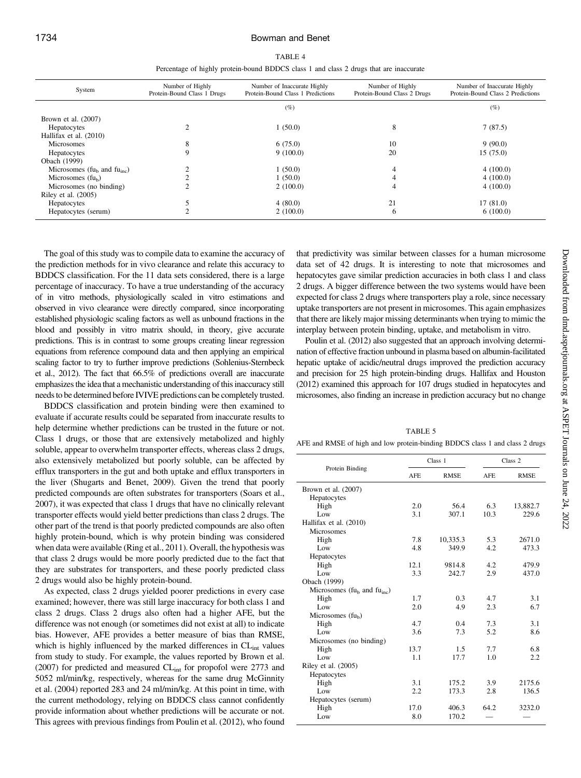| 'ABL |  |
|------|--|
|------|--|

|  | Percentage of highly protein-bound BDDCS class 1 and class 2 drugs that are inaccurate |  |  |  |
|--|----------------------------------------------------------------------------------------|--|--|--|
|  |                                                                                        |  |  |  |

| System                                                 | Number of Highly<br>Protein-Bound Class 1 Drugs | Number of Highly<br>Number of Inaccurate Highly<br>Protein-Bound Class 1 Predictions<br>Protein-Bound Class 2 Drugs |    | Number of Inaccurate Highly<br>Protein-Bound Class 2 Predictions |
|--------------------------------------------------------|-------------------------------------------------|---------------------------------------------------------------------------------------------------------------------|----|------------------------------------------------------------------|
|                                                        |                                                 | $(\%)$                                                                                                              |    | $(\%)$                                                           |
| Brown et al. $(2007)$                                  |                                                 |                                                                                                                     |    |                                                                  |
| Hepatocytes                                            |                                                 | 1(50.0)                                                                                                             | 8  | 7(87.5)                                                          |
| Hallifax et al. (2010)                                 |                                                 |                                                                                                                     |    |                                                                  |
| Microsomes                                             | 8                                               | 6(75.0)                                                                                                             | 10 | 9(90.0)                                                          |
| Hepatocytes                                            | 9                                               | 9(100.0)                                                                                                            | 20 | 15(75.0)                                                         |
| Obach (1999)                                           |                                                 |                                                                                                                     |    |                                                                  |
| Microsomes ( $f_{\rm u_b}$ and $f_{\rm u_{\rm inc}}$ ) |                                                 | 1(50.0)                                                                                                             | 4  | 4(100.0)                                                         |
| Microsomes $(fu_h)$                                    |                                                 | 1(50.0)                                                                                                             | 4  | 4(100.0)                                                         |
| Microsomes (no binding)                                |                                                 | 2(100.0)                                                                                                            | 4  | 4(100.0)                                                         |
| Riley et al. $(2005)$                                  |                                                 |                                                                                                                     |    |                                                                  |
| Hepatocytes                                            |                                                 | 4(80.0)                                                                                                             | 21 | 17(81.0)                                                         |
| Hepatocytes (serum)                                    |                                                 | 2(100.0)                                                                                                            | 6  | 6(100.0)                                                         |

The goal of this study was to compile data to examine the accuracy of the prediction methods for in vivo clearance and relate this accuracy to BDDCS classification. For the 11 data sets considered, there is a large percentage of inaccuracy. To have a true understanding of the accuracy of in vitro methods, physiologically scaled in vitro estimations and observed in vivo clearance were directly compared, since incorporating established physiologic scaling factors as well as unbound fractions in the blood and possibly in vitro matrix should, in theory, give accurate predictions. This is in contrast to some groups creating linear regression equations from reference compound data and then applying an empirical scaling factor to try to further improve predictions (Sohlenius-Sternbeck et al., 2012). The fact that 66.5% of predictions overall are inaccurate emphasizes the idea that a mechanistic understanding of this inaccuracy still needs to be determined before IVIVE predictions can be completely trusted.

BDDCS classification and protein binding were then examined to evaluate if accurate results could be separated from inaccurate results to help determine whether predictions can be trusted in the future or not. Class 1 drugs, or those that are extensively metabolized and highly soluble, appear to overwhelm transporter effects, whereas class 2 drugs, also extensively metabolized but poorly soluble, can be affected by efflux transporters in the gut and both uptake and efflux transporters in the liver (Shugarts and Benet, 2009). Given the trend that poorly predicted compounds are often substrates for transporters (Soars et al., 2007), it was expected that class 1 drugs that have no clinically relevant transporter effects would yield better predictions than class 2 drugs. The other part of the trend is that poorly predicted compounds are also often highly protein-bound, which is why protein binding was considered when data were available (Ring et al., 2011). Overall, the hypothesis was that class 2 drugs would be more poorly predicted due to the fact that they are substrates for transporters, and these poorly predicted class 2 drugs would also be highly protein-bound.

As expected, class 2 drugs yielded poorer predictions in every case examined; however, there was still large inaccuracy for both class 1 and class 2 drugs. Class 2 drugs also often had a higher AFE, but the difference was not enough (or sometimes did not exist at all) to indicate bias. However, AFE provides a better measure of bias than RMSE, which is highly influenced by the marked differences in  $CL<sub>int</sub>$  values from study to study. For example, the values reported by Brown et al. (2007) for predicted and measured CL<sub>int</sub> for propofol were 2773 and 5052 ml/min/kg, respectively, whereas for the same drug McGinnity et al. (2004) reported 283 and 24 ml/min/kg. At this point in time, with the current methodology, relying on BDDCS class cannot confidently provide information about whether predictions will be accurate or not. This agrees with previous findings from Poulin et al. (2012), who found that predictivity was similar between classes for a human microsome data set of 42 drugs. It is interesting to note that microsomes and hepatocytes gave similar prediction accuracies in both class 1 and class 2 drugs. A bigger difference between the two systems would have been expected for class 2 drugs where transporters play a role, since necessary uptake transporters are not present in microsomes. This again emphasizes that there are likely major missing determinants when trying to mimic the interplay between protein binding, uptake, and metabolism in vitro.

Poulin et al. (2012) also suggested that an approach involving determination of effective fraction unbound in plasma based on albumin-facilitated hepatic uptake of acidic/neutral drugs improved the prediction accuracy and precision for 25 high protein-binding drugs. Hallifax and Houston (2012) examined this approach for 107 drugs studied in hepatocytes and microsomes, also finding an increase in prediction accuracy but no change

TABLE 5

AFE and RMSE of high and low protein-binding BDDCS class 1 and class 2 drugs

|                                                        |            | Class 1     | Class 2    |             |  |
|--------------------------------------------------------|------------|-------------|------------|-------------|--|
| Protein Binding                                        | <b>AFE</b> | <b>RMSE</b> | <b>AFE</b> | <b>RMSE</b> |  |
| Brown et al. $(2007)$                                  |            |             |            |             |  |
| Hepatocytes                                            |            |             |            |             |  |
| High                                                   | 2.0        | 56.4        | 6.3        | 13,882.7    |  |
| Low                                                    | 3.1        | 307.1       | 10.3       | 229.6       |  |
| Hallifax et al. (2010)                                 |            |             |            |             |  |
| Microsomes                                             |            |             |            |             |  |
| High                                                   | 7.8        | 10,335.3    | 5.3        | 2671.0      |  |
| Low                                                    | 4.8        | 349.9       | 4.2        | 473.3       |  |
| Hepatocytes                                            |            |             |            |             |  |
| High                                                   | 12.1       | 9814.8      | 4.2        | 479.9       |  |
| Low                                                    | 3.3        | 242.7       | 2.9        | 437.0       |  |
| Obach (1999)                                           |            |             |            |             |  |
| Microsomes ( $f_{\rm u_b}$ and $f_{\rm u_{\rm inc}}$ ) |            |             |            |             |  |
| High                                                   | 1.7        | 0.3         | 4.7        | 3.1         |  |
| Low                                                    | 2.0        | 4.9         | 2.3        | 6.7         |  |
| Microsomes (fu <sub>b</sub> )                          |            |             |            |             |  |
| High                                                   | 4.7        | 0.4         | 7.3        | 3.1         |  |
| Low                                                    | 3.6        | 7.3         | 5.2        | 8.6         |  |
| Microsomes (no binding)                                |            |             |            |             |  |
| High                                                   | 13.7       | 1.5         | 7.7        | 6.8         |  |
| Low                                                    | 1.1        | 17.7        | 1.0        | 2.2         |  |
| Riley et al. (2005)                                    |            |             |            |             |  |
| Hepatocytes                                            |            |             |            |             |  |
| High                                                   | 3.1        | 175.2       | 3.9        | 2175.6      |  |
| Low                                                    | 2.2        | 173.3       | 2.8        | 136.5       |  |
| Hepatocytes (serum)                                    |            |             |            |             |  |
| High                                                   | 17.0       | 406.3       | 64.2       | 3232.0      |  |
| Low                                                    | 8.0        | 170.2       |            |             |  |